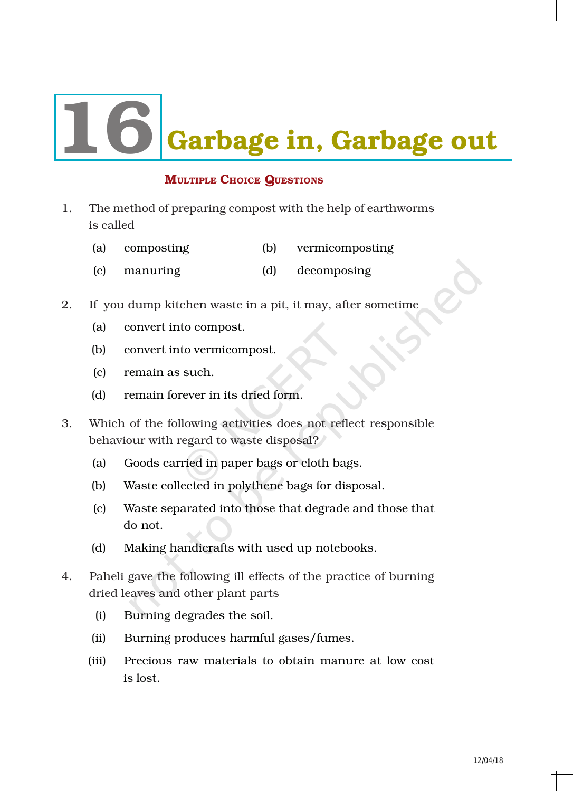# Garbage in, Garbage out

# MULTIPLE CHOICE QUESTIONS

- 1. The method of preparing compost with the help of earthworms is called
	- (a) composting (b) vermicomposting
	- (c) manuring (d) decomposing
- 2. If you dump kitchen waste in a pit, it may, after sometime
	- (a) convert into compost.
	- (b) convert into vermicompost.
	- (c) remain as such.
	- (d) remain forever in its dried form.
- 3. Which of the following activities does not reflect responsible behaviour with regard to waste disposal?
	- (a) Goods carried in paper bags or cloth bags.
	- (b) Waste collected in polythene bags for disposal.
	- (c) Waste separated into those that degrade and those that do not.
	- (d) Making handicrafts with used up notebooks.
- 4. Paheli gave the following ill effects of the practice of burning dried leaves and other plant parts
	- (i) Burning degrades the soil.
	- (ii) Burning produces harmful gases/fumes.
	- (iii) Precious raw materials to obtain manure at low cost is lost.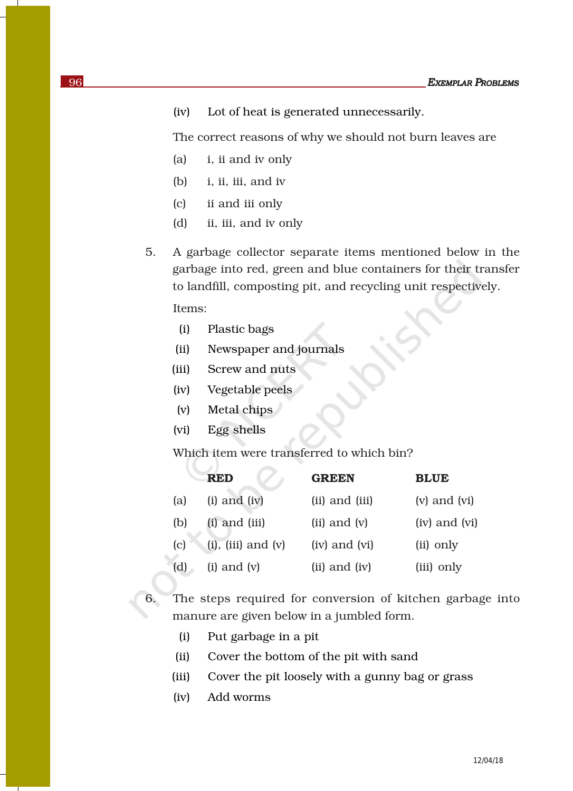(iv) Lot of heat is generated unnecessarily.

The correct reasons of why we should not burn leaves are

- (a) i, ii and iv only
- (b) i, ii, iii, and iv
- (c) ii and iii only
- (d) ii, iii, and iv only

5. A garbage collector separate items mentioned below in the garbage into red, green and blue containers for their transfer to landfill, composting pit, and recycling unit respectively.

Items:

- (i) Plastic bags
- (ii) Newspaper and journals
- (iii) Screw and nuts
- (iv) Vegetable peels
- (v) Metal chips
- (vi) Egg shells

Which item were transferred to which bin?

|     | <b>RED</b>                | <b>GREEN</b>      | <b>BLUE</b>      |
|-----|---------------------------|-------------------|------------------|
| (a) | $(i)$ and $(iv)$          | (ii) and (iii)    | $(v)$ and $(vi)$ |
| (b) | $(i)$ and $(iii)$         | $(ii)$ and $(v)$  | (iv) and (vi)    |
| (c) | $(i)$ , $(iii)$ and $(v)$ | (iv) and (vi)     | (ii) only        |
| (d) | $(i)$ and $(v)$           | $(ii)$ and $(iv)$ | (iii) only       |

6. The steps required for conversion of kitchen garbage into manure are given below in a jumbled form.

- (i) Put garbage in a pit
- (ii) Cover the bottom of the pit with sand
- (iii) Cover the pit loosely with a gunny bag or grass
- (iv) Add worms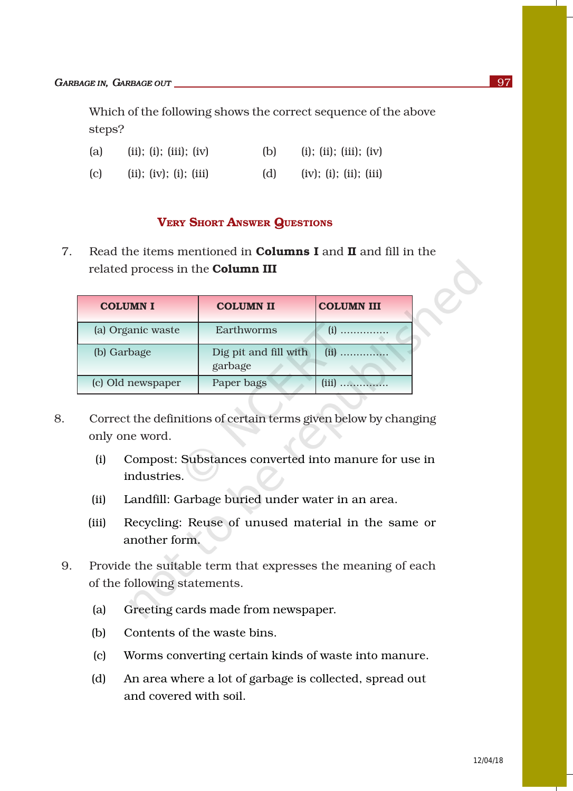Which of the following shows the correct sequence of the above steps?

| (a) | (ii); (ii); (iii); (iv) | (b) | (i); (ii); (iii); (iv) |
|-----|-------------------------|-----|------------------------|
| (c) | (ii); (iv); (i); (iii)  | (d) | (iv); (i); (ii); (iii) |

## VERY SHORT ANSWER QUESTIONS

7. Read the items mentioned in **Columns I** and **II** and fill in the related process in the Column III

| <b>COLUMN I</b>   | <b>COLUMN II</b>                 | <b>COLUMN III</b> |
|-------------------|----------------------------------|-------------------|
| (a) Organic waste | Earthworms                       | $(i)$             |
| (b) Garbage       | Dig pit and fill with<br>garbage | .                 |
| (c) Old newspaper | Paper bags                       |                   |

- 8. Correct the definitions of certain terms given below by changing only one word.
	- (i) Compost: Substances converted into manure for use in industries.
	- (ii) Landfill: Garbage buried under water in an area.
	- (iii) Recycling: Reuse of unused material in the same or another form.
	- 9. Provide the suitable term that expresses the meaning of each of the following statements.
		- (a) Greeting cards made from newspaper.
		- (b) Contents of the waste bins.
		- (c) Worms converting certain kinds of waste into manure.
		- (d) An area where a lot of garbage is collected, spread out and covered with soil.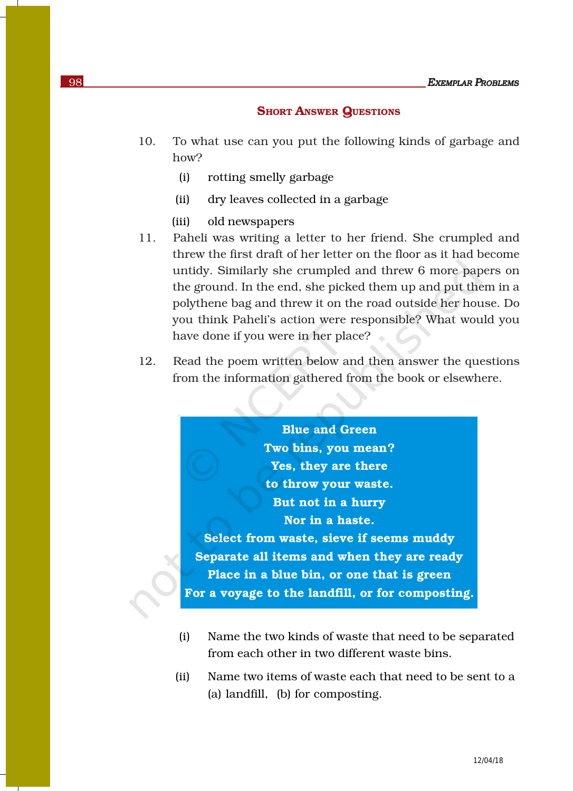### **SHORT ANSWER QUESTIONS**

- 10. To what use can you put the following kinds of garbage and how?
	- (i) rotting smelly garbage
	- (ii) dry leaves collected in a garbage
	- (iii) old newspapers
- 11. Paheli was writing a letter to her friend. She crumpled and threw the first draft of her letter on the floor as it had become untidy. Similarly she crumpled and threw 6 more papers on the ground. In the end, she picked them up and put them in a polythene bag and threw it on the road outside her house. Do you think Paheli's action were responsible? What would you have done if you were in her place?
- 12. Read the poem written below and then answer the questions from the information gathered from the book or elsewhere.

Blue and Green Two bins, you mean? Yes, they are there to throw your waste. But not in a hurry Nor in a haste. Select from waste, sieve if seems muddy Separate all items and when they are ready Place in a blue bin, or one that is green For a voyage to the landfill, or for composting.

- (i) Name the two kinds of waste that need to be separated from each other in two different waste bins.
- (ii) Name two items of waste each that need to be sent to a (a) landfill, (b) for composting.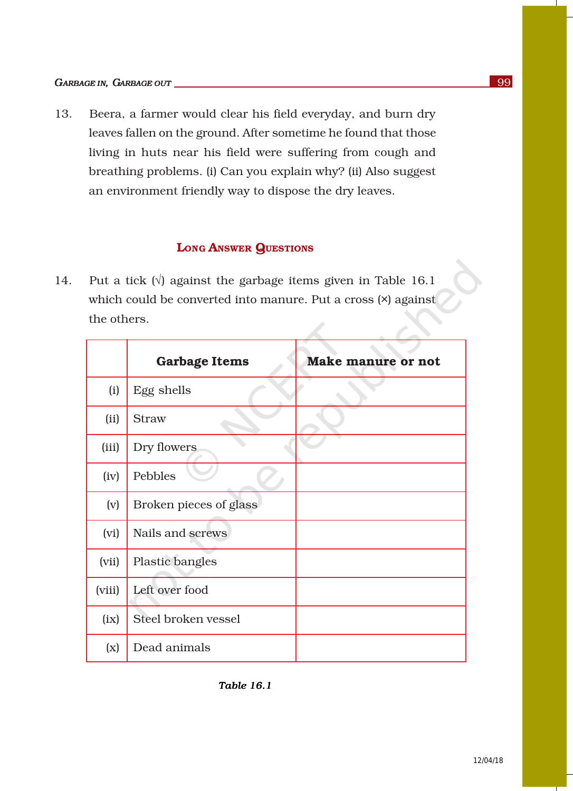13. Beera, a farmer would clear his field everyday, and burn dry leaves fallen on the ground. After sometime he found that those living in huts near his field were suffering from cough and breathing problems. (i) Can you explain why? (ii) Also suggest an environment friendly way to dispose the dry leaves.

### LONG ANSWER QUESTIONS

14. Put a tick  $(\sqrt{})$  against the garbage items given in Table 16.1 which could be converted into manure. Put a cross (×) against the others.

|                           | <b>Garbage Items</b>   | <b>Make manure or not</b> |
|---------------------------|------------------------|---------------------------|
| (i)                       | Egg shells             |                           |
| (ii)                      | <b>Straw</b>           |                           |
| (iii)                     | Dry flowers            |                           |
| (iv)                      | Pebbles                |                           |
| (v)                       | Broken pieces of glass |                           |
| (vi)                      | Nails and screws       |                           |
| (vii)                     | Plastic bangles        |                           |
| (viii)                    | Left over food         |                           |
| (ix)                      | Steel broken vessel    |                           |
| $\left(\mathrm{x}\right)$ | Dead animals           |                           |

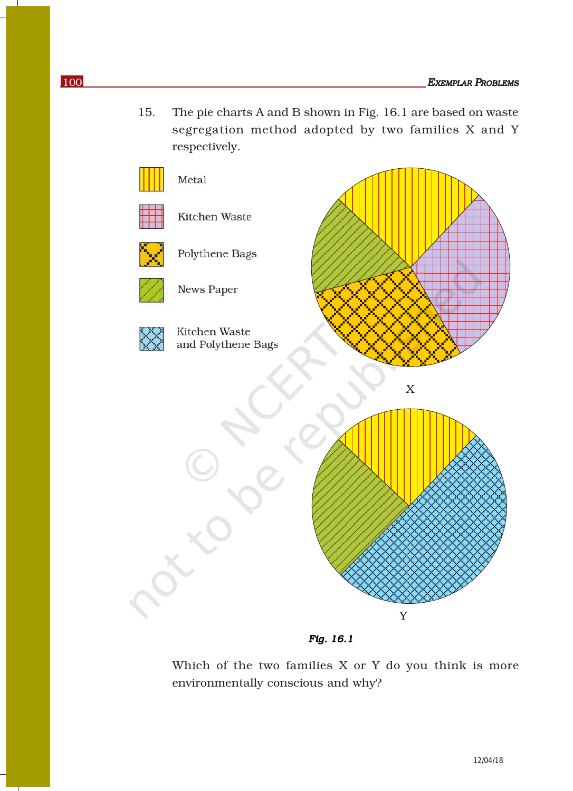15. The pie charts A and B shown in Fig. 16.1 are based on waste segregation method adopted by two families X and Y respectively.



 *Fig. 16.1*

Which of the two families X or Y do you think is more environmentally conscious and why?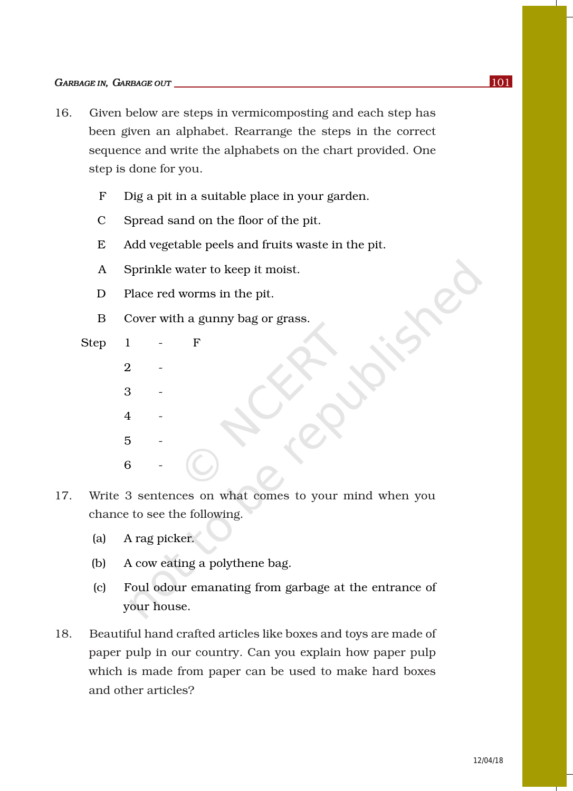- 16. Given below are steps in vermicomposting and each step has been given an alphabet. Rearrange the steps in the correct sequence and write the alphabets on the chart provided. One step is done for you.
	- F Dig a pit in a suitable place in your garden.
	- C Spread sand on the floor of the pit.
	- E Add vegetable peels and fruits waste in the pit.
	- A Sprinkle water to keep it moist.
	- D Place red worms in the pit.
	- B Cover with a gunny bag or grass.

Step 1 - F  $\mathcal{D}_{\mathcal{L}}$ 3 -  $\overline{4}$  $\overline{5}$ 6

- 17. Write 3 sentences on what comes to your mind when you chance to see the following.
	- (a) A rag picker.
	- (b) A cow eating a polythene bag.
	- (c) Foul odour emanating from garbage at the entrance of your house.
- 18. Beautiful hand crafted articles like boxes and toys are made of paper pulp in our country. Can you explain how paper pulp which is made from paper can be used to make hard boxes and other articles?